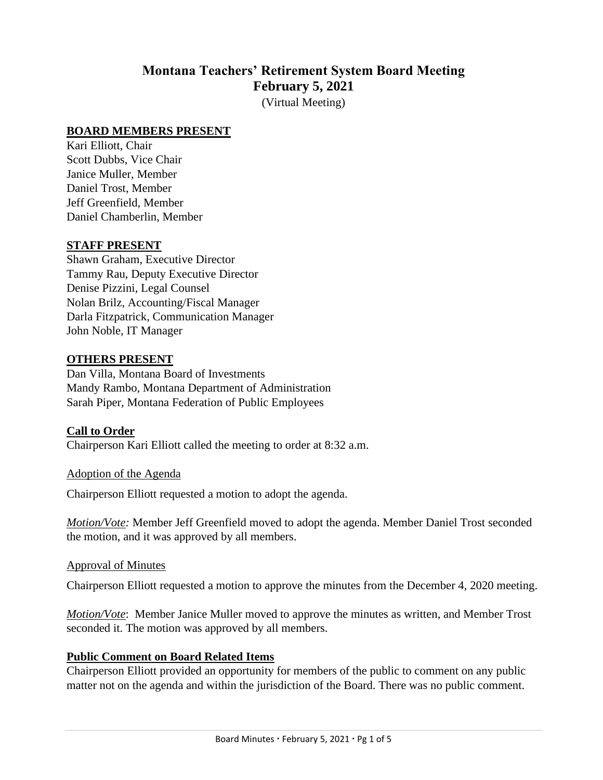# **Montana Teachers' Retirement System Board Meeting February 5, 2021**

(Virtual Meeting)

#### **BOARD MEMBERS PRESENT**

Kari Elliott, Chair Scott Dubbs, Vice Chair Janice Muller, Member Daniel Trost, Member Jeff Greenfield, Member Daniel Chamberlin, Member

#### **STAFF PRESENT**

Shawn Graham, Executive Director Tammy Rau, Deputy Executive Director Denise Pizzini, Legal Counsel Nolan Brilz, Accounting/Fiscal Manager Darla Fitzpatrick, Communication Manager John Noble, IT Manager

#### **OTHERS PRESENT**

Dan Villa, Montana Board of Investments Mandy Rambo, Montana Department of Administration Sarah Piper, Montana Federation of Public Employees

#### **Call to Order**

Chairperson Kari Elliott called the meeting to order at 8:32 a.m.

Adoption of the Agenda

Chairperson Elliott requested a motion to adopt the agenda.

*Motion/Vote:* Member Jeff Greenfield moved to adopt the agenda. Member Daniel Trost seconded the motion, and it was approved by all members.

#### Approval of Minutes

Chairperson Elliott requested a motion to approve the minutes from the December 4, 2020 meeting.

*Motion/Vote*: Member Janice Muller moved to approve the minutes as written, and Member Trost seconded it. The motion was approved by all members.

#### **Public Comment on Board Related Items**

Chairperson Elliott provided an opportunity for members of the public to comment on any public matter not on the agenda and within the jurisdiction of the Board. There was no public comment.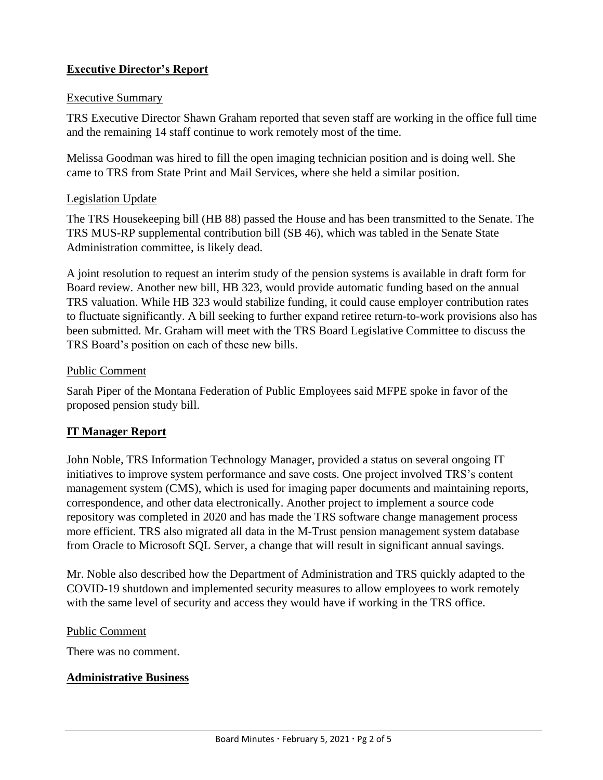## **Executive Director's Report**

#### Executive Summary

TRS Executive Director Shawn Graham reported that seven staff are working in the office full time and the remaining 14 staff continue to work remotely most of the time.

Melissa Goodman was hired to fill the open imaging technician position and is doing well. She came to TRS from State Print and Mail Services, where she held a similar position.

#### Legislation Update

The TRS Housekeeping bill (HB 88) passed the House and has been transmitted to the Senate. The TRS MUS-RP supplemental contribution bill (SB 46), which was tabled in the Senate State Administration committee, is likely dead.

A joint resolution to request an interim study of the pension systems is available in draft form for Board review. Another new bill, HB 323, would provide automatic funding based on the annual TRS valuation. While HB 323 would stabilize funding, it could cause employer contribution rates to fluctuate significantly. A bill seeking to further expand retiree return-to-work provisions also has been submitted. Mr. Graham will meet with the TRS Board Legislative Committee to discuss the TRS Board's position on each of these new bills.

### Public Comment

Sarah Piper of the Montana Federation of Public Employees said MFPE spoke in favor of the proposed pension study bill.

### **IT Manager Report**

John Noble, TRS Information Technology Manager, provided a status on several ongoing IT initiatives to improve system performance and save costs. One project involved TRS's content management system (CMS), which is used for imaging paper documents and maintaining reports, correspondence, and other data electronically. Another project to implement a source code repository was completed in 2020 and has made the TRS software change management process more efficient. TRS also migrated all data in the M-Trust pension management system database from Oracle to Microsoft SQL Server, a change that will result in significant annual savings.

Mr. Noble also described how the Department of Administration and TRS quickly adapted to the COVID-19 shutdown and implemented security measures to allow employees to work remotely with the same level of security and access they would have if working in the TRS office.

#### Public Comment

There was no comment.

### **Administrative Business**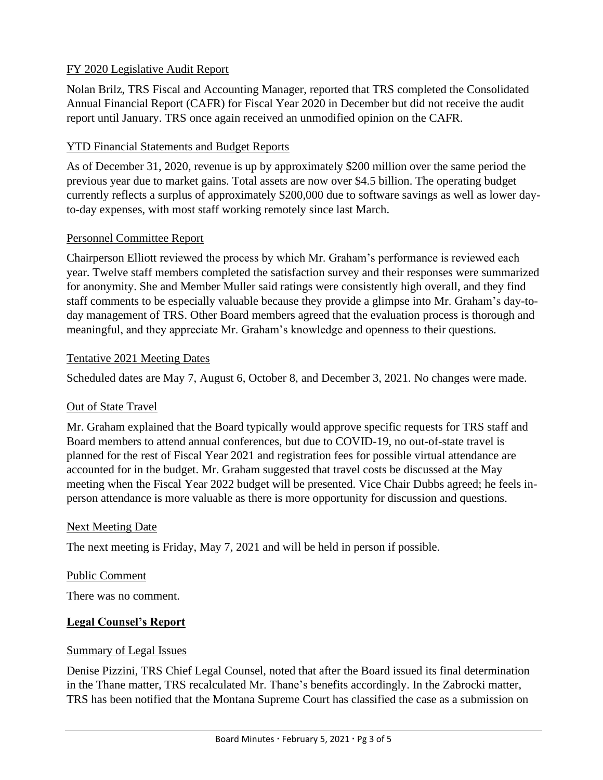## FY 2020 Legislative Audit Report

Nolan Brilz, TRS Fiscal and Accounting Manager, reported that TRS completed the Consolidated Annual Financial Report (CAFR) for Fiscal Year 2020 in December but did not receive the audit report until January. TRS once again received an unmodified opinion on the CAFR.

## **YTD Financial Statements and Budget Reports**

As of December 31, 2020, revenue is up by approximately \$200 million over the same period the previous year due to market gains. Total assets are now over \$4.5 billion. The operating budget currently reflects a surplus of approximately \$200,000 due to software savings as well as lower dayto-day expenses, with most staff working remotely since last March.

## Personnel Committee Report

Chairperson Elliott reviewed the process by which Mr. Graham's performance is reviewed each year. Twelve staff members completed the satisfaction survey and their responses were summarized for anonymity. She and Member Muller said ratings were consistently high overall, and they find staff comments to be especially valuable because they provide a glimpse into Mr. Graham's day-today management of TRS. Other Board members agreed that the evaluation process is thorough and meaningful, and they appreciate Mr. Graham's knowledge and openness to their questions.

### Tentative 2021 Meeting Dates

Scheduled dates are May 7, August 6, October 8, and December 3, 2021. No changes were made.

## Out of State Travel

Mr. Graham explained that the Board typically would approve specific requests for TRS staff and Board members to attend annual conferences, but due to COVID-19, no out-of-state travel is planned for the rest of Fiscal Year 2021 and registration fees for possible virtual attendance are accounted for in the budget. Mr. Graham suggested that travel costs be discussed at the May meeting when the Fiscal Year 2022 budget will be presented. Vice Chair Dubbs agreed; he feels inperson attendance is more valuable as there is more opportunity for discussion and questions.

### Next Meeting Date

The next meeting is Friday, May 7, 2021 and will be held in person if possible.

### Public Comment

There was no comment.

## **Legal Counsel's Report**

### Summary of Legal Issues

Denise Pizzini, TRS Chief Legal Counsel, noted that after the Board issued its final determination in the Thane matter, TRS recalculated Mr. Thane's benefits accordingly. In the Zabrocki matter, TRS has been notified that the Montana Supreme Court has classified the case as a submission on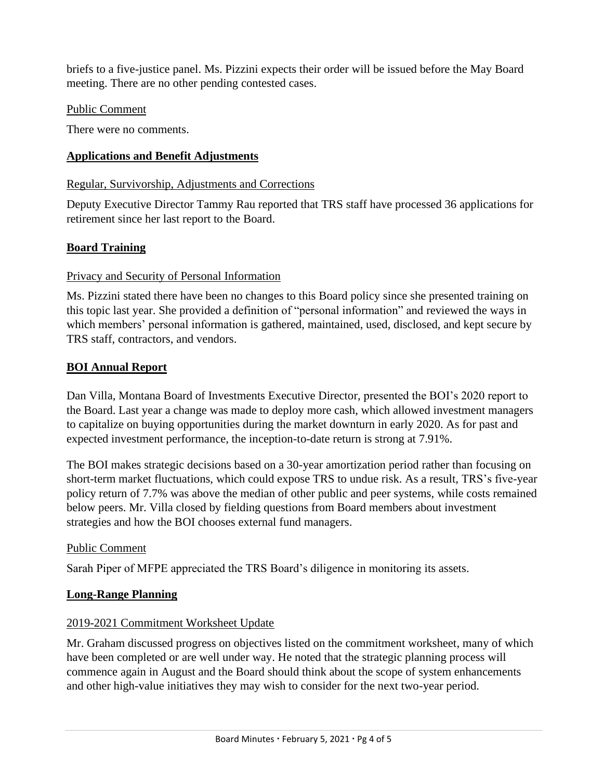briefs to a five-justice panel. Ms. Pizzini expects their order will be issued before the May Board meeting. There are no other pending contested cases.

### Public Comment

There were no comments.

## **Applications and Benefit Adjustments**

### Regular, Survivorship, Adjustments and Corrections

Deputy Executive Director Tammy Rau reported that TRS staff have processed 36 applications for retirement since her last report to the Board.

## **Board Training**

## Privacy and Security of Personal Information

Ms. Pizzini stated there have been no changes to this Board policy since she presented training on this topic last year. She provided a definition of "personal information" and reviewed the ways in which members' personal information is gathered, maintained, used, disclosed, and kept secure by TRS staff, contractors, and vendors.

## **BOI Annual Report**

Dan Villa, Montana Board of Investments Executive Director, presented the BOI's 2020 report to the Board. Last year a change was made to deploy more cash, which allowed investment managers to capitalize on buying opportunities during the market downturn in early 2020. As for past and expected investment performance, the inception-to-date return is strong at 7.91%.

The BOI makes strategic decisions based on a 30-year amortization period rather than focusing on short-term market fluctuations, which could expose TRS to undue risk. As a result, TRS's five-year policy return of 7.7% was above the median of other public and peer systems, while costs remained below peers. Mr. Villa closed by fielding questions from Board members about investment strategies and how the BOI chooses external fund managers.

## Public Comment

Sarah Piper of MFPE appreciated the TRS Board's diligence in monitoring its assets.

## **Long-Range Planning**

## 2019-2021 Commitment Worksheet Update

Mr. Graham discussed progress on objectives listed on the commitment worksheet, many of which have been completed or are well under way. He noted that the strategic planning process will commence again in August and the Board should think about the scope of system enhancements and other high-value initiatives they may wish to consider for the next two-year period.